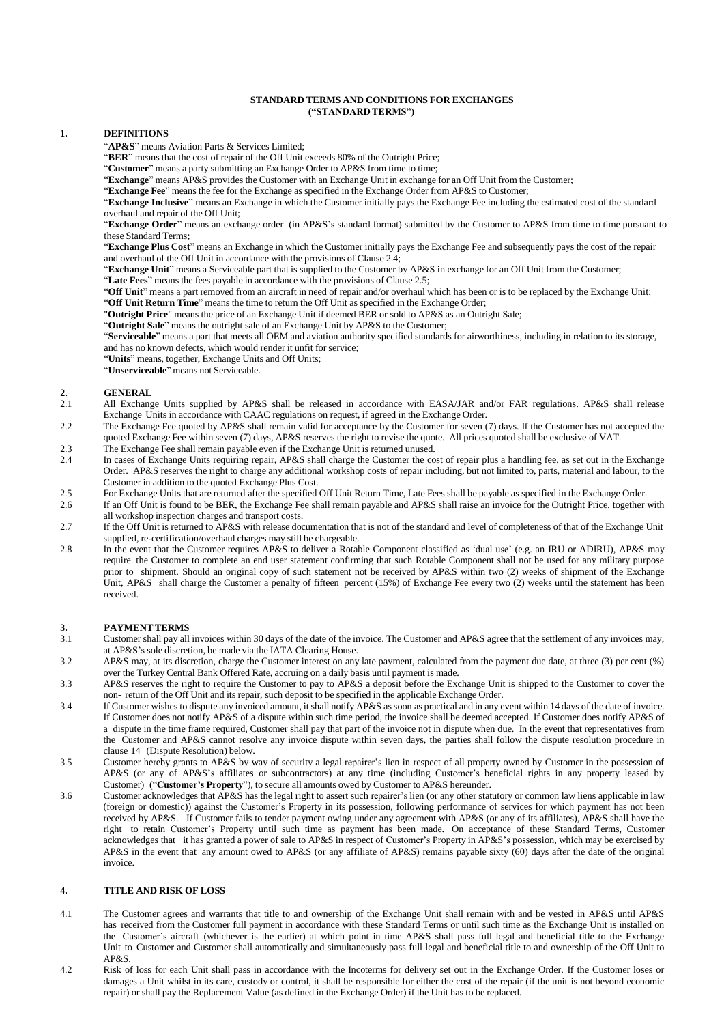### **STANDARD TERMS AND CONDITIONS FOR EXCHANGES ("STANDARDTERMS")**

### **1. DEFINITIONS**

"**AP&S**" means Aviation Parts & Services Limited;

"**BER**" means that the cost of repair of the Off Unit exceeds 80% of the Outright Price;

"**Customer**" means a party submitting an Exchange Order to AP&S from time to time;

"**Exchange**" means AP&S provides the Customer with an Exchange Unit in exchange for an Off Unit from the Customer;

"**Exchange Fee**" means the fee for the Exchange as specified in the Exchange Order from AP&S to Customer;

"**Exchange Inclusive**" means an Exchange in which the Customer initially pays the Exchange Fee including the estimated cost of the standard overhaul and repair of the Off Unit;

"**Exchange Order**" means an exchange order (in AP&S"s standard format) submitted by the Customer to AP&S from time to time pursuant to these Standard Terms;

"**Exchange Plus Cost**" means an Exchange in which the Customer initially pays the Exchange Fee and subsequently pays the cost of the repair and overhaul of the Off Unit in accordance with the provisions of Clause 2.4;

"**Exchange Unit**" means a Serviceable part that is supplied to the Customer by AP&S in exchange for an Off Unit from the Customer;

"**Late Fees**" means the fees payable in accordance with the provisions of Clause 2.5;

"Off Unit" means a part removed from an aircraft in need of repair and/or overhaul which has been or is to be replaced by the Exchange Unit;

"**Off Unit Return Time**" means the time to return the Off Unit as specified in the Exchange Order;

"**Outright Price**" means the price of an Exchange Unit if deemed BER or sold to AP&S as an Outright Sale;

"**Outright Sale**" means the outright sale of an Exchange Unit by AP&S to the Customer;

"**Serviceable**" means a part that meets all OEM and aviation authority specified standards for airworthiness, including in relation to its storage, and has no known defects, which would render it unfit for service;

"**Units**" means, together, Exchange Units and Off Units;

"**Unserviceable**" means not Serviceable.

# 2. **GENERAL**<br>2.1 All Exchange

- 2.1 All Exchange Units supplied by AP&S shall be released in accordance with EASA/JAR and/or FAR regulations. AP&S shall release Exchange Units in accordance with CAAC regulations on request, if agreed in the Exchange Order.
- 2.2 The Exchange Fee quoted by AP&S shall remain valid for acceptance by the Customer for seven (7) days. If the Customer has not accepted the quoted Exchange Fee within seven (7) days, AP&S reserves the right to revise the quote. All prices quoted shall be exclusive of VAT.
- 2.3 The Exchange Fee shall remain payable even if the Exchange Unit is returned unused.<br>2.4 In cases of Exchange Units requiring repair. AP&S shall charge the Customer the co
- 2.4 In cases of Exchange Units requiring repair, AP&S shall charge the Customer the cost of repair plus a handling fee, as set out in the Exchange Order. AP&S reserves the right to charge any additional workshop costs of repair including, but not limited to, parts, material and labour, to the Customer in addition to the quoted Exchange Plus Cost.
- 2.5 For Exchange Units that are returned after the specified Off Unit Return Time, Late Fees shall be payable as specified in the Exchange Order.<br>2.6 If an Off Unit is found to be BER, the Exchange Fee shall remain payable
- 2.6 If an Off Unit is found to be BER, the Exchange Fee shall remain payable and AP&S shall raise an invoice for the Outright Price, together with all workshop inspection charges and transport costs.
- 2.7 If the Off Unit is returned to AP&S with release documentation that is not of the standard and level of completeness of that of the Exchange Unit supplied, re-certification/overhaul charges may still be chargeable.
- 2.8 In the event that the Customer requires AP&S to deliver a Rotable Component classified as "dual use" (e.g. an IRU or ADIRU), AP&S may require the Customer to complete an end user statement confirming that such Rotable Component shall not be used for any military purpose prior to shipment. Should an original copy of such statement not be received by AP&S within two (2) weeks of shipment of the Exchange Unit, AP&S shall charge the Customer a penalty of fifteen percent (15%) of Exchange Fee every two (2) weeks until the statement has been received.

### **3. PAYMENT TERMS**<br> **3.1** Customer shall nav all

- 3.1 Customer shall pay all invoices within 30 days of the date of the invoice. The Customer and AP&S agree that the settlement of any invoices may, at AP&S"s sole discretion, be made via the IATA Clearing House.
- 3.2 AP&S may, at its discretion, charge the Customer interest on any late payment, calculated from the payment due date, at three (3) per cent (%) over the Turkey Central Bank Offered Rate, accruing on a daily basis until payment is made.
- 3.3 AP&S reserves the right to require the Customer to pay to AP&S a deposit before the Exchange Unit is shipped to the Customer to cover the non- return of the Off Unit and its repair, such deposit to be specified in the applicable Exchange Order.
- 3.4 If Customer wishes to dispute any invoiced amount, it shall notify AP&S assoon as practical and in any event within 14 days of the date of invoice. If Customer does not notify AP&S of a dispute within such time period, the invoice shall be deemed accepted. If Customer does notify AP&S of a dispute in the time frame required, Customer shall pay that part of the invoice not in dispute when due. In the event that representatives from the Customer and AP&S cannot resolve any invoice dispute within seven days, the parties shall follow the dispute resolution procedure in clause 14 (Dispute Resolution) below.
- 3.5 Customer hereby grants to AP&S by way of security a legal repairer"s lien in respect of all property owned by Customer in the possession of AP&S (or any of AP&S"s affiliates or subcontractors) at any time (including Customer"s beneficial rights in any property leased by Customer) ("**Customer's Property**"), to secure all amounts owed by Customer to AP&S hereunder.
- 3.6 Customer acknowledges that AP&S has the legal right to assert such repairer"s lien (or any other statutory or common law liens applicable in law (foreign or domestic)) against the Customer"s Property in its possession, following performance of services for which payment has not been received by AP&S. If Customer fails to tender payment owing under any agreement with AP&S (or any of its affiliates), AP&S shall have the right to retain Customer"s Property until such time as payment has been made. On acceptance of these Standard Terms, Customer acknowledges that it has granted a power of sale to AP&S in respect of Customer"s Property in AP&S"s possession, which may be exercised by AP&S in the event that any amount owed to AP&S (or any affiliate of AP&S) remains payable sixty (60) days after the date of the original invoice.

### **4. TITLE AND RISK OF LOSS**

- 4.1 The Customer agrees and warrants that title to and ownership of the Exchange Unit shall remain with and be vested in AP&S until AP&S has received from the Customer full payment in accordance with these Standard Terms or until such time as the Exchange Unit is installed on the Customer's aircraft (whichever is the earlier) at which point in time AP&S shall pass full legal and beneficial title to the Exchange Unit to Customer and Customer shall automatically and simultaneously pass full legal and beneficial title to and ownership of the Off Unit to AP&S.
- 4.2 Risk of loss for each Unit shall pass in accordance with the Incoterms for delivery set out in the Exchange Order. If the Customer loses or damages a Unit whilst in its care, custody or control, it shall be responsible for either the cost of the repair (if the unit is not beyond economic repair) or shall pay the Replacement Value (as defined in the Exchange Order) if the Unit has to be replaced.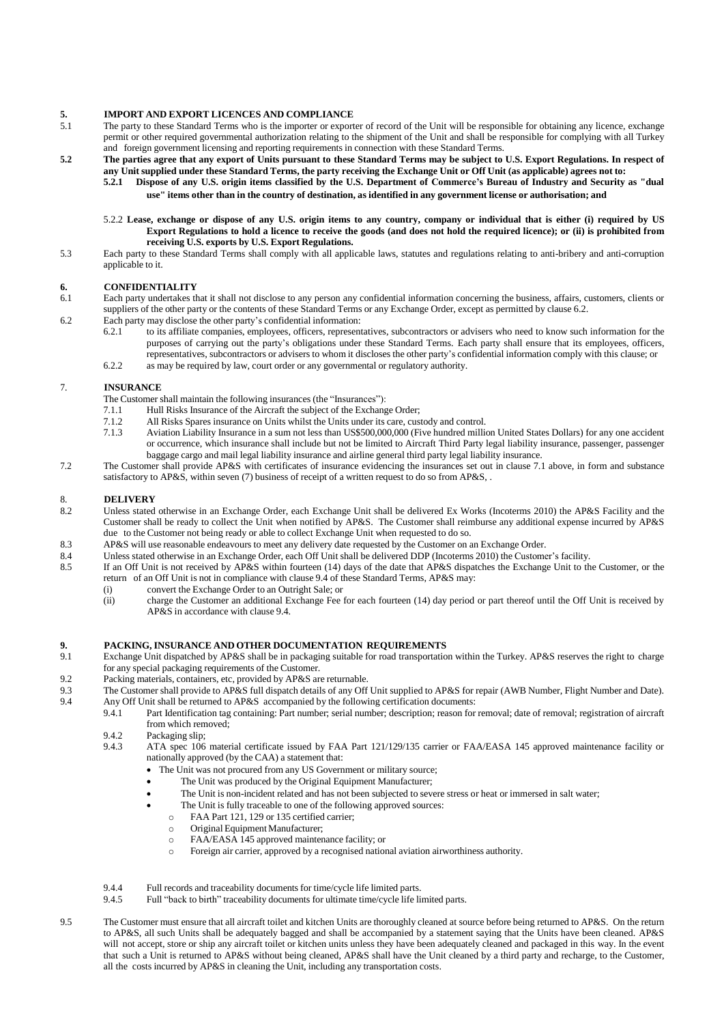# **5. IMPORT AND EXPORT LICENCES AND COMPLIANCE**<br>5.1 The party to these Standard Terms who is the importer or export

- The party to these Standard Terms who is the importer or exporter of record of the Unit will be responsible for obtaining any licence, exchange permit or other required governmental authorization relating to the shipment of the Unit and shall be responsible for complying with all Turkey and foreign government licensing and reporting requirementsin connection with these Standard Terms.
- 5.2 The parties agree that any export of Units pursuant to these Standard Terms may be subject to U.S. Export Regulations. In respect of any Unit supplied under these Standard Terms, the party receiving the Exchange Unit or Off Unit (as applicable) agrees not to:
	- **5.2.1 Dispose of any U.S. origin items classified by the U.S. Department of Commerce's Bureau of Industry and Security as "dual** use" items other than in the country of destination, as identified in any government license or authorisation; and
	- 5.2.2 Lease, exchange or dispose of any U.S. origin items to any country, company or individual that is either (i) required by US Export Regulations to hold a licence to receive the goods (and does not hold the required licence); or (ii) is prohibited from **receiving U.S. exports by U.S. Export Regulations.**
- 5.3 Each party to these Standard Terms shall comply with all applicable laws, statutes and regulations relating to anti-bribery and anti-corruption applicable to it.

### **6. CONFIDENTIALITY**

- 6.1 Each party undertakes that it shall not disclose to any person any confidential information concerning the business, affairs, customers, clients or suppliers of the other party or the contents of these Standard Terms or any Exchange Order, except as permitted by clause 6.2.
- 6.2 Each party may disclose the other party's confidential information:<br>6.2.1 to its affiliate companies employees officers represent
	- 6.2.1 to its affiliate companies, employees, officers, representatives, subcontractors or advisers who need to know such information for the purposes of carrying out the party"s obligations under these Standard Terms. Each party shall ensure that its employees, officers, representatives, subcontractors or advisers to whom it discloses the other party"s confidential information comply with this clause; or
	- 6.2.2 as may be required by law, court order or any governmental or regulatory authority.

### 7. **INSURANCE**

- The Customer shall maintain the following insurances (the "Insurances"):<br>7.1.1 Hull Risks Insurance of the Aircraft the subject of the Exchange
- 7.1.1 Hull Risks Insurance of the Aircraft the subject of the Exchange Order;
- 7.1.2 All Risks Spares insurance on Units whilst the Units under its care, custody and control.
- 7.1.3 Aviation Liability Insurance in a sum not less than US\$500,000,000 (Five hundred million United States Dollars) for any one accident or occurrence, which insurance shall include but not be limited to Aircraft Third Party legal liability insurance, passenger, passenger baggage cargo and mail legal liability insurance and airline general third party legal liability insurance.
- 7.2 The Customer shall provide AP&S with certificates of insurance evidencing the insurances set out in clause 7.1 above, in form and substance satisfactory to AP&S, within seven (7) business of receipt of a written request to do so from AP&S, .

### 8. **DELIVERY**<br>8.2 **Unless stated**

- Unless stated otherwise in an Exchange Order, each Exchange Unit shall be delivered Ex Works (Incoterms 2010) the AP&S Facility and the Customer shall be ready to collect the Unit when notified by AP&S. The Customer shall reimburse any additional expense incurred by AP&S due to the Customer not being ready or able to collect Exchange Unit when requested to do so.
- 8.3 AP&S will use reasonable endeavours to meet any delivery date requested by the Customer on an Exchange Order.<br>8.4 Unless stated otherwise in an Exchange Order, each Off Unit shall be delivered DDP (Incoterms 2010) the
- 8.4 Unless stated otherwise in an Exchange Order, each Off Unit shall be delivered DDP (Incoterms 2010) the Customer's facility.<br>8.5 If an Off Unit is not received by AP&S within fourteen (14) days of the date that AP&S di
	- 8.5 If an Off Unit is not received by AP&S within fourteen (14) days of the date that AP&S dispatches the Exchange Unit to the Customer, or the return of an Off Unit is not in compliance with clause 9.4 of these Standard Terms, AP&S may:
		- (i) convert the Exchange Order to an Outright Sale; or
		- (ii) charge the Customer an additional Exchange Fee for each fourteen (14) day period or part thereof until the Off Unit is received by AP&S in accordance with clause 9.4.

# **9. PACKING, INSURANCE AND OTHER DOCUMENTATION REQUIREMENTS**

- Exchange Unit dispatched by AP&S shall be in packaging suitable for road transportation within the Turkey. AP&S reserves the right to charge for any special packaging requirements of the Customer.
- 9.2 Packing materials, containers, etc, provided by AP&S are returnable.
- 9.3 The Customer shall provide to AP&S full dispatch details of any Off Unit supplied to AP&S for repair (AWB Number, Flight Number and Date).<br>9.4 Any Off Unit shall be returned to AP&S, accompanied by the following certif
- Any Off Unit shall be returned to AP&S accompanied by the following certification documents:<br>9.4.1 Part Identification tag containing: Part number; serial number; description; reason for Part Identification tag containing: Part number; serial number; description; reason for removal; date of removal; registration of aircraft
	- from which removed;
	- 9.4.2 Packaging slip;
	- 9.4.3 ATA spec 106 material certificate issued by FAA Part 121/129/135 carrier or FAA/EASA 145 approved maintenance facility or nationally approved (by the CAA) a statement that:
		- The Unit was not procured from any US Government or military source;
		- The Unit was produced by the Original Equipment Manufacturer;
		- The Unit is non-incident related and has not been subjected to severe stress or heat or immersed in salt water;
		- The Unit is fully traceable to one of the following approved sources:
			- o FAA Part 121, 129 or 135 certified carrier;
			- o Original Equipment Manufacturer;
			- o FAA/EASA 145 approved maintenance facility; or
			- o Foreign air carrier, approved by a recognised national aviation airworthiness authority.
	- 9.4.4 Full records and traceability documents for time/cycle life limited parts.
	- 9.4.5 Full "back to birth" traceability documents for ultimate time/cycle life limited parts.
- 9.5 The Customer must ensure that all aircraft toilet and kitchen Units are thoroughly cleaned at source before being returned to AP&S. On the return to AP&S, all such Units shall be adequately bagged and shall be accompanied by a statement saying that the Units have been cleaned. AP&S will not accept, store or ship any aircraft toilet or kitchen units unless they have been adequately cleaned and packaged in this way. In the event that such a Unit is returned to AP&S without being cleaned, AP&S shall have the Unit cleaned by a third party and recharge, to the Customer, all the costs incurred by AP&S in cleaning the Unit, including any transportation costs.